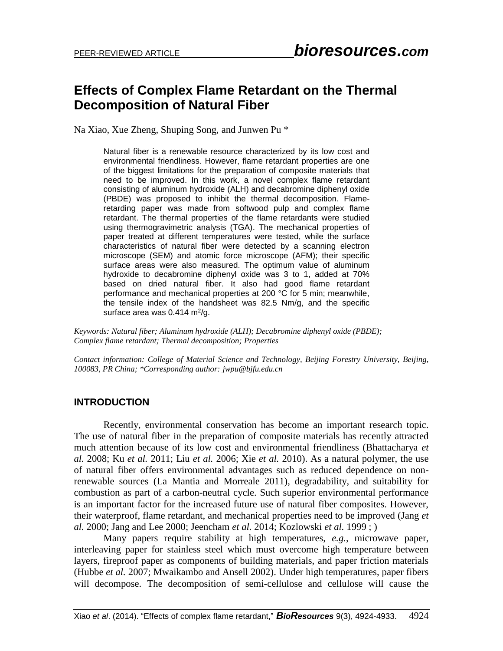## **Effects of Complex Flame Retardant on the Thermal Decomposition of Natural Fiber**

Na Xiao, Xue Zheng, Shuping Song, and Junwen Pu \*

Natural fiber is a renewable resource characterized by its low cost and environmental friendliness. However, flame retardant properties are one of the biggest limitations for the preparation of composite materials that need to be improved. In this work, a novel complex flame retardant consisting of aluminum hydroxide (ALH) and decabromine diphenyl oxide (PBDE) was proposed to inhibit the thermal decomposition. Flameretarding paper was made from softwood pulp and complex flame retardant. The thermal properties of the flame retardants were studied using thermogravimetric analysis (TGA). The mechanical properties of paper treated at different temperatures were tested, while the surface characteristics of natural fiber were detected by a scanning electron microscope (SEM) and atomic force microscope (AFM); their specific surface areas were also measured. The optimum value of aluminum hydroxide to decabromine diphenyl oxide was 3 to 1, added at 70% based on dried natural fiber. It also had good flame retardant performance and mechanical properties at 200 °C for 5 min; meanwhile, the tensile index of the handsheet was 82.5 Nm/g, and the specific surface area was 0.414 m<sup>2</sup>/g.

*Keywords: Natural fiber; Aluminum hydroxide (ALH); Decabromine diphenyl oxide (PBDE); Complex flame retardant; Thermal decomposition; Properties*

*Contact information: College of Material Science and Technology, Beijing Forestry University, Beijing, 100083, PR China; \*Corresponding author: jwpu@bjfu.edu.cn*

### **INTRODUCTION**

Recently, environmental conservation has become an important research topic. The use of natural fiber in the preparation of composite materials has recently attracted much attention because of its low cost and environmental friendliness (Bhattacharya *et al.* 2008; Ku *et al.* 2011; Liu *et al.* 2006; Xie *et al.* 2010). As a natural polymer, the use of natural fiber offers environmental advantages such as reduced dependence on nonrenewable sources (La Mantia and Morreale 2011), degradability, and suitability for combustion as part of a carbon-neutral cycle. Such superior environmental performance is an important factor for the increased future use of natural fiber composites. However, their waterproof, flame retardant, and mechanical properties need to be improved (Jang *et al.* 2000; [Jang and Lee 2000;](#page-8-0) Jeencham *et al.* 2014; Kozlowski *et al.* 1999 ; )

Many papers require stability at high temperatures, *e.g.*, microwave paper, interleaving paper for stainless steel which must overcome high temperature between layers, fireproof paper as components of building materials, and paper friction materials (Hubbe *et al.* 2007; Mwaikambo and Ansell 2002). Under high temperatures, paper fibers will decompose. The decomposition of semi-cellulose and cellulose will cause the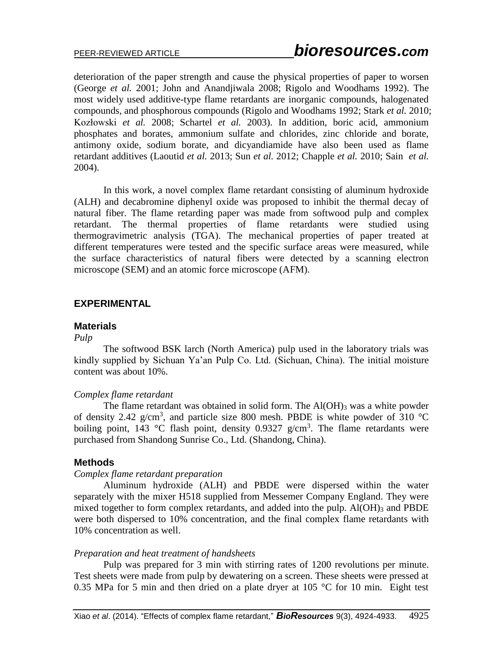deterioration of the paper strength and cause the physical properties of paper to worsen (George *et al.* 2001; John and Anandjiwala 2008; [Rigolo and Woodhams 1992\)](#page-8-1). The most widely used additive-type flame retardants are inorganic compounds, halogenated compounds, and phosphorous compounds (Rigolo and Woodhams 1992; Stark *et al.* 2010; Kozłowski *et al.* 2008; Schartel *et al.* 2003). In addition, boric acid, ammonium phosphates and borates, ammonium sulfate and chlorides, zinc chloride and borate, antimony oxide, sodium borate, and dicyandiamide have also been used as flame retardant additives [\(Laoutid](#page-8-2) *et al.* 2013; Sun *et al.* [2012;](#page-9-0) Chapple *et al.* 2010; Sain *et al.* 2004).

In this work, a novel complex flame retardant consisting of aluminum hydroxide (ALH) and decabromine diphenyl oxide was proposed to inhibit the thermal decay of natural fiber. The flame retarding paper was made from softwood pulp and complex retardant. The thermal properties of flame retardants were studied using thermogravimetric analysis (TGA). The mechanical properties of paper treated at different temperatures were tested and the specific surface areas were measured, while the surface characteristics of natural fibers were detected by a scanning electron microscope (SEM) and an atomic force microscope (AFM).

## **EXPERIMENTAL**

#### **Materials**

#### *Pulp*

The softwood BSK larch (North America) pulp used in the laboratory trials was kindly supplied by Sichuan Ya'an Pulp Co. Ltd. (Sichuan, China). The initial moisture content was about 10%.

#### *Complex flame retardant*

The flame retardant was obtained in solid form. The  $Al(OH)$ <sub>3</sub> was a white powder of density 2.42 g/cm<sup>3</sup>, and particle size 800 mesh. PBDE is white powder of 310 °C boiling point, 143 °C flash point, density 0.9327  $g/cm<sup>3</sup>$ . The flame retardants were purchased from Shandong Sunrise Co., Ltd. (Shandong, China).

### **Methods**

#### *Complex flame retardant preparation*

Aluminum hydroxide (ALH) and PBDE were dispersed within the water separately with the mixer H518 supplied from Messemer Company England. They were mixed together to form complex retardants, and added into the pulp.  $AI(OH)_{3}$  and PBDE were both dispersed to 10% concentration, and the final complex flame retardants with 10% concentration as well.

#### *Preparation and heat treatment of handsheets*

Pulp was prepared for 3 min with stirring rates of 1200 revolutions per minute. Test sheets were made from pulp by dewatering on a screen. These sheets were pressed at 0.35 MPa for 5 min and then dried on a plate dryer at  $105^{\circ}$ C for 10 min. Eight test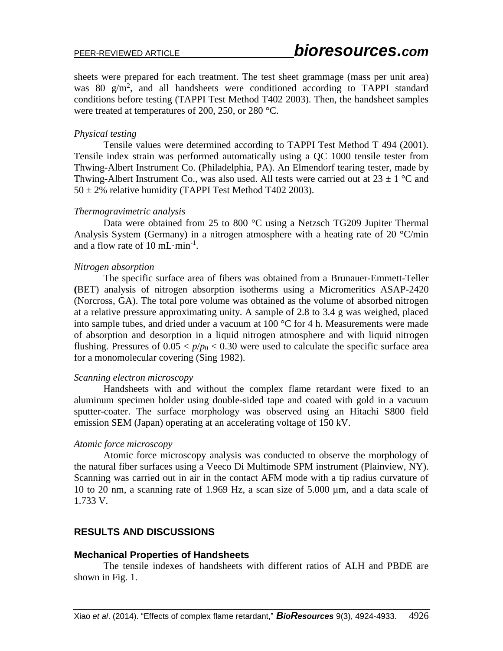sheets were prepared for each treatment. The test sheet grammage (mass per unit area) was 80  $g/m^2$ , and all handsheets were conditioned according to TAPPI standard conditions before testing (TAPPI Test Method T402 2003). Then, the handsheet samples were treated at temperatures of 200, 250, or 280 °C.

## *Physical testing*

Tensile values were determined according to TAPPI Test Method T 494 (2001). Tensile index strain was performed automatically using a QC 1000 tensile tester from Thwing-Albert Instrument Co. (Philadelphia, PA). An Elmendorf tearing tester, made by Thwing-Albert Instrument Co., was also used. All tests were carried out at  $23 \pm 1$  °C and  $50 \pm 2\%$  relative humidity (TAPPI Test Method T402 2003).

### *Thermogravimetric analysis*

Data were obtained from 25 to 800 °C using a Netzsch TG209 Jupiter Thermal Analysis System (Germany) in a nitrogen atmosphere with a heating rate of 20  $^{\circ}$ C/min and a flow rate of 10 mL $\cdot$ min<sup>-1</sup>.

## *Nitrogen absorption*

The specific surface area of fibers was obtained from a Brunauer-Emmett-Teller **(**BET) analysis of nitrogen absorption isotherms using a Micromeritics ASAP-2420 (Norcross, GA). The total pore volume was obtained as the volume of absorbed nitrogen at a relative pressure approximating unity. A sample of 2.8 to 3.4 g was weighed, placed into sample tubes, and dried under a vacuum at 100 °C for 4 h. Measurements were made of absorption and desorption in a liquid nitrogen atmosphere and with liquid nitrogen flushing. Pressures of  $0.05 < p/p_0 < 0.30$  were used to calculate the specific surface area for a monomolecular covering [\(Sing 1982\)](#page-8-3).

### *Scanning electron microscopy*

Handsheets with and without the complex flame retardant were fixed to an aluminum specimen holder using double-sided tape and coated with gold in a vacuum sputter-coater. The surface morphology was observed using an Hitachi S800 field emission SEM (Japan) operating at an accelerating voltage of 150 kV.

## *Atomic force microscopy*

Atomic force microscopy analysis was conducted to observe the morphology of the natural fiber surfaces using a Veeco Di Multimode SPM instrument (Plainview, NY). Scanning was carried out in air in the contact AFM mode with a tip radius curvature of 10 to 20 nm, a scanning rate of 1.969 Hz, a scan size of 5.000 µm, and a data scale of 1.733 V.

## **RESULTS AND DISCUSSIONS**

## **Mechanical Properties of Handsheets**

The tensile indexes of handsheets with different ratios of ALH and PBDE are shown in Fig. 1.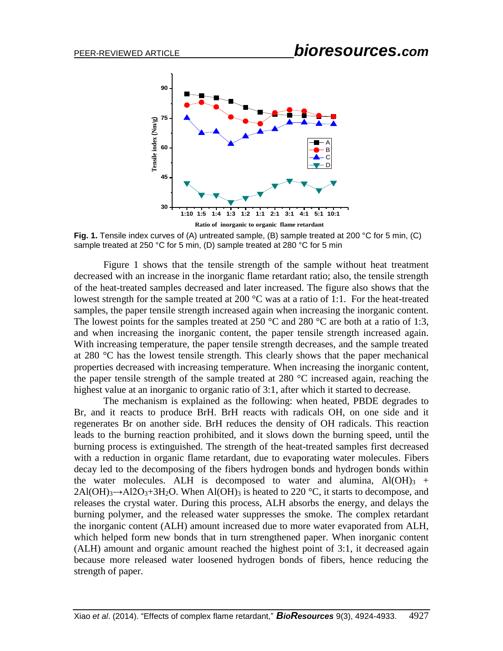

**Fig. 1.** Tensile index curves of (A) untreated sample, (B) sample treated at 200 °C for 5 min, (C) sample treated at 250 °C for 5 min, (D) sample treated at 280 °C for 5 min

Figure 1 shows that the tensile strength of the sample without heat treatment decreased with an increase in the inorganic flame retardant ratio; also, the tensile strength of the heat-treated samples decreased and later increased. The figure also shows that the lowest strength for the sample treated at 200 °C was at a ratio of 1:1. For the heat-treated samples, the paper tensile strength increased again when increasing the inorganic content. The lowest points for the samples treated at 250  $^{\circ}$ C and 280  $^{\circ}$ C are both at a ratio of 1:3, and when increasing the inorganic content, the paper tensile strength increased again. With increasing temperature, the paper tensile strength decreases, and the sample treated at 280 °C has the lowest tensile strength. This clearly shows that the paper mechanical properties decreased with increasing temperature. When increasing the inorganic content, the paper tensile strength of the sample treated at 280 °C increased again, reaching the highest value at an inorganic to organic ratio of 3:1, after which it started to decrease.

The mechanism is explained as the following: when heated, PBDE degrades to Br, and it reacts to produce BrH. BrH reacts with radicals OH, on one side and it regenerates Br on another side. BrH reduces the density of OH radicals. This reaction leads to the burning reaction prohibited, and it slows down the burning speed, until the burning process is extinguished. The strength of the heat-treated samples first decreased with a reduction in organic flame retardant, due to evaporating water molecules. Fibers decay led to the decomposing of the fibers hydrogen bonds and hydrogen bonds within the water molecules. ALH is decomposed to water and alumina,  $Al(OH)_{3}$  +  $2\text{Al}(\text{OH})_3 \rightarrow \text{Al}2\text{O}_3 + 3\text{H}_2\text{O}$ . When Al(OH)<sub>3</sub> is heated to 220 °C, it starts to decompose, and releases the crystal water. During this process, ALH absorbs the energy, and delays the burning polymer, and the released water suppresses the smoke. The complex retardant the inorganic content (ALH) amount increased due to more water evaporated from ALH, which helped form new bonds that in turn strengthened paper. When inorganic content (ALH) amount and organic amount reached the highest point of 3:1, it decreased again because more released water loosened hydrogen bonds of fibers, hence reducing the strength of paper.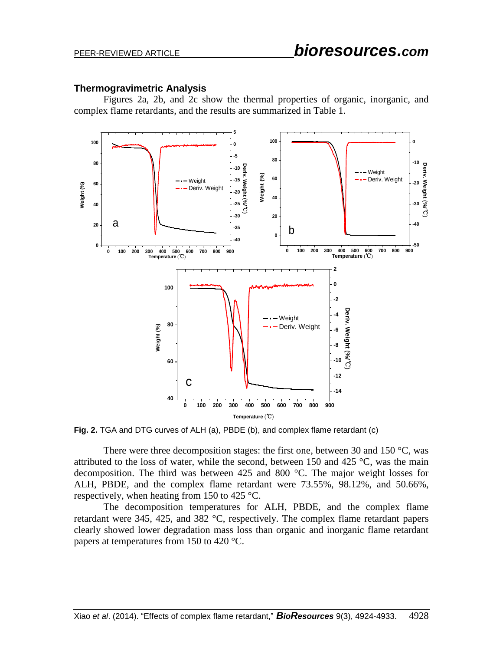#### **Thermogravimetric Analysis**

Figures 2a, 2b, and 2c show the thermal properties of organic, inorganic, and complex flame retardants, and the results are summarized in Table 1.



**Fig. 2.** TGA and DTG curves of ALH (a), PBDE (b), and complex flame retardant (c)

There were three decomposition stages: the first one, between 30 and 150  $^{\circ}$ C, was attributed to the loss of water, while the second, between 150 and 425  $\degree$ C, was the main decomposition. The third was between 425 and 800 °C. The major weight losses for ALH, PBDE, and the complex flame retardant were 73.55%, 98.12%, and 50.66%, respectively, when heating from 150 to 425 °C.

The decomposition temperatures for ALH, PBDE, and the complex flame retardant were 345, 425, and 382 °C, respectively. The complex flame retardant papers clearly showed lower degradation mass loss than organic and inorganic flame retardant papers at temperatures from 150 to 420 °C.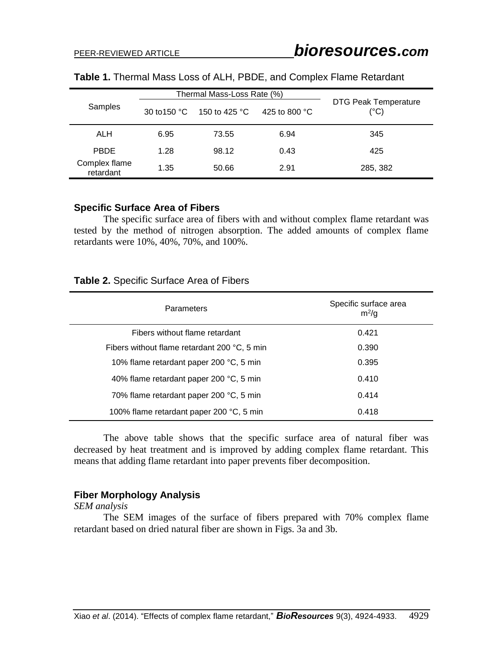|                            | Thermal Mass-Loss Rate (%) |                         |                         |                                              |
|----------------------------|----------------------------|-------------------------|-------------------------|----------------------------------------------|
| Samples                    | 30 to 150 $^{\circ}$ C     | 150 to 425 $^{\circ}$ C | 425 to 800 $^{\circ}$ C | <b>DTG Peak Temperature</b><br>$(^{\circ}C)$ |
| ALH                        | 6.95                       | 73.55                   | 6.94                    | 345                                          |
| <b>PBDE</b>                | 1.28                       | 98.12                   | 0.43                    | 425                                          |
| Complex flame<br>retardant | 1.35                       | 50.66                   | 2.91                    | 285, 382                                     |

| Table 1. Thermal Mass Loss of ALH, PBDE, and Complex Flame Retardant |  |  |
|----------------------------------------------------------------------|--|--|
|----------------------------------------------------------------------|--|--|

#### **Specific Surface Area of Fibers**

The specific surface area of fibers with and without complex flame retardant was tested by the method of nitrogen absorption. The added amounts of complex flame retardants were 10%, 40%, 70%, and 100%.

#### **Table 2.** Specific Surface Area of Fibers

| <b>Parameters</b>                            | Specific surface area<br>$m^2/q$ |
|----------------------------------------------|----------------------------------|
| Fibers without flame retardant               | 0.421                            |
| Fibers without flame retardant 200 °C, 5 min | 0.390                            |
| 10% flame retardant paper 200 °C, 5 min      | 0.395                            |
| 40% flame retardant paper 200 °C, 5 min      | 0.410                            |
| 70% flame retardant paper 200 °C, 5 min      | 0.414                            |
| 100% flame retardant paper 200 °C, 5 min     | 0.418                            |

The above table shows that the specific surface area of natural fiber was decreased by heat treatment and is improved by adding complex flame retardant. This means that adding flame retardant into paper prevents fiber decomposition.

## **Fiber Morphology Analysis**

*SEM analysis*

The SEM images of the surface of fibers prepared with 70% complex flame retardant based on dried natural fiber are shown in Figs. 3a and 3b.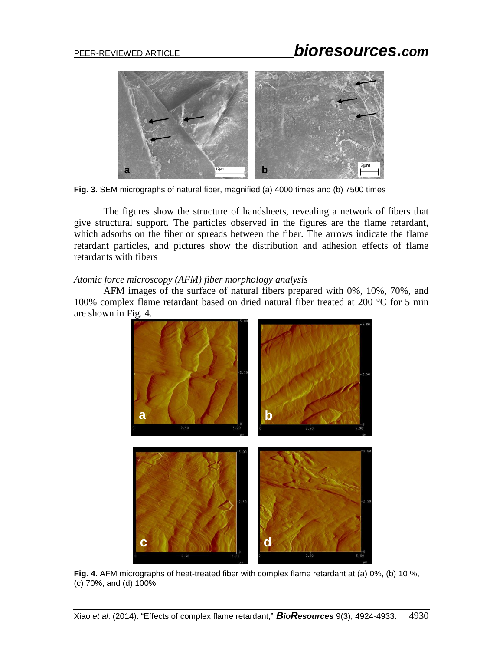# PEER-REVIEWED ARTICLE *bioresources.com*



**Fig. 3.** SEM micrographs of natural fiber, magnified (a) 4000 times and (b) 7500 times

The figures show the structure of handsheets, revealing a network of fibers that give structural support. The particles observed in the figures are the flame retardant, which adsorbs on the fiber or spreads between the fiber. The arrows indicate the flame retardant particles, and pictures show the distribution and adhesion effects of flame retardants with fibers

## *Atomic force microscopy (AFM) fiber morphology analysis*

AFM images of the surface of natural fibers prepared with 0%, 10%, 70%, and 100% complex flame retardant based on dried natural fiber treated at 200 °C for 5 min are shown in Fig. 4.



**Fig. 4.** AFM micrographs of heat-treated fiber with complex flame retardant at (a) 0%, (b) 10 %, (c) 70%, and (d) 100%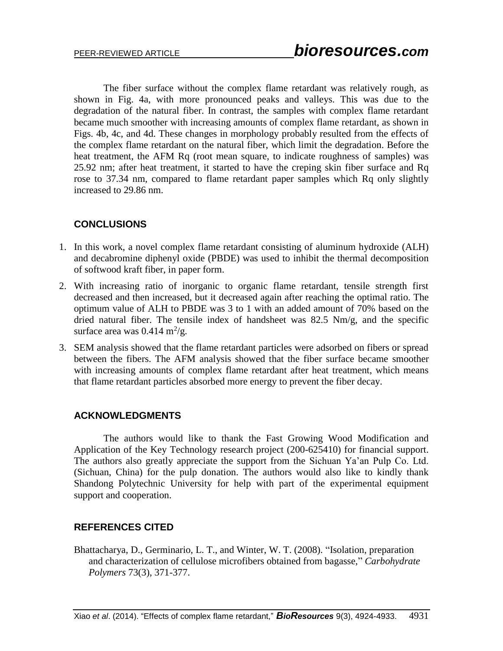The fiber surface without the complex flame retardant was relatively rough, as shown in Fig. 4a, with more pronounced peaks and valleys. This was due to the degradation of the natural fiber. In contrast, the samples with complex flame retardant became much smoother with increasing amounts of complex flame retardant, as shown in Figs. 4b, 4c, and 4d. These changes in morphology probably resulted from the effects of the complex flame retardant on the natural fiber, which limit the degradation. Before the heat treatment, the AFM Rq (root mean square, to indicate roughness of samples) was 25.92 nm; after heat treatment, it started to have the creping skin fiber surface and Rq rose to 37.34 nm, compared to flame retardant paper samples which Rq only slightly increased to 29.86 nm.

## **[CONCLUSIONS](http://www.sciencedirect.com/science?_ob=ArticleURL&_udi=B6TWN-4VVGKPH-2&_user=2324825&_coverDate=05%2F31%2F2009&_alid=1315805091&_rdoc=140&_fmt=high&_orig=search&_cdi=5567&_sort=r&_st=13&_docanchor=&view=c&_ct=1019&_acct=C000056917&_version=1&_urlVersion=0&_userid=2324825&md5=0086ff834322d19921604efe433a9ea7#secx13)**

- 1. In this work, a novel complex flame retardant consisting of aluminum hydroxide (ALH) and decabromine diphenyl oxide (PBDE) was used to inhibit the thermal decomposition of softwood kraft fiber, in paper form.
- 2. With increasing ratio of inorganic to organic flame retardant, tensile strength first decreased and then increased, but it decreased again after reaching the optimal ratio. The optimum value of ALH to PBDE was 3 to 1 with an added amount of 70% based on the dried natural fiber. The tensile index of handsheet was 82.5 Nm/g, and the specific surface area was  $0.414 \text{ m}^2/\text{g}$ .
- 3. SEM analysis showed that the flame retardant particles were adsorbed on fibers or spread between the fibers. The AFM analysis showed that the fiber surface became smoother with increasing amounts of complex flame retardant after heat treatment, which means that flame retardant particles absorbed more energy to prevent the fiber decay.

## **ACKNOWLEDGMENTS**

The authors would like to thank the Fast Growing Wood Modification and Application of the Key Technology research project (200-625410) for financial support. The authors also greatly appreciate the support from the Sichuan Ya'an Pulp Co. Ltd. (Sichuan, China) for the pulp donation. The authors would also like to kindly thank Shandong Polytechnic University for help with part of the experimental equipment support and cooperation.

## **REFERENCES CITED**

Bhattacharya, D., Germinario, L. T., and Winter, W. T. (2008). "Isolation, preparation and characterization of cellulose microfibers obtained from bagasse," *Carbohydrate Polymers* 73(3), 371-377.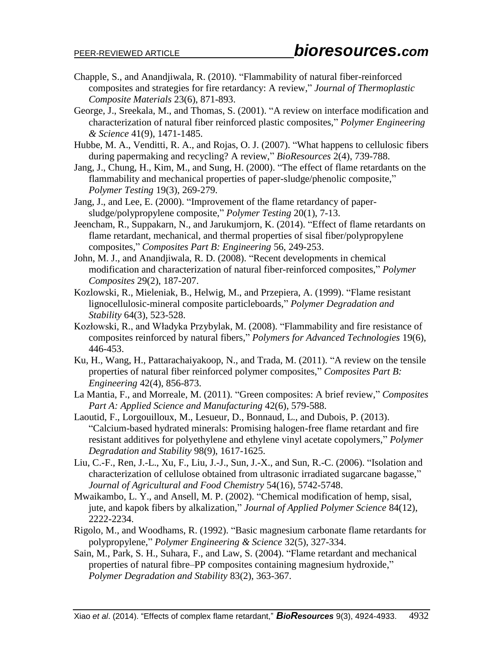- Chapple, S., and Anandjiwala, R. (2010). "Flammability of natural fiber-reinforced composites and strategies for fire retardancy: A review," *Journal of Thermoplastic Composite Materials* 23(6), 871-893.
- George, J., Sreekala, M., and Thomas, S. (2001). "A review on interface modification and characterization of natural fiber reinforced plastic composites," *Polymer Engineering & Science* 41(9), 1471-1485.
- Hubbe, M. A., Venditti, R. A., and Rojas, O. J. (2007). "What happens to cellulosic fibers during papermaking and recycling? A review," *BioResources* 2(4), 739-788.
- Jang, J., Chung, H., Kim, M., and Sung, H. (2000). "The effect of flame retardants on the flammability and mechanical properties of paper-sludge/phenolic composite," *Polymer Testing* 19(3), 269-279.
- <span id="page-8-0"></span>Jang, J., and Lee, E. (2000). "Improvement of the flame retardancy of papersludge/polypropylene composite," *Polymer Testing* 20(1), 7-13.
- Jeencham, R., Suppakarn, N., and Jarukumjorn, K. (2014). "Effect of flame retardants on flame retardant, mechanical, and thermal properties of sisal fiber/polypropylene composites," *Composites Part B: Engineering* 56, 249-253.
- John, M. J., and Anandjiwala, R. D. (2008). "Recent developments in chemical modification and characterization of natural fiber-reinforced composites," *Polymer Composites* 29(2), 187-207.
- Kozlowski, R., Mieleniak, B., Helwig, M., and Przepiera, A. (1999). "Flame resistant lignocellulosic-mineral composite particleboards," *Polymer Degradation and Stability* 64(3), 523-528.
- Kozłowski, R., and Władyka Przybylak, M. (2008). "Flammability and fire resistance of composites reinforced by natural fibers," *Polymers for Advanced Technologies* 19(6), 446-453.
- Ku, H., Wang, H., Pattarachaiyakoop, N., and Trada, M. (2011). "A review on the tensile properties of natural fiber reinforced polymer composites," *Composites Part B: Engineering* 42(4), 856-873.
- La Mantia, F., and Morreale, M. (2011). "Green composites: A brief review," *Composites Part A: Applied Science and Manufacturing* 42(6), 579-588.
- <span id="page-8-2"></span>Laoutid, F., Lorgouilloux, M., Lesueur, D., Bonnaud, L., and Dubois, P. (2013). "Calcium-based hydrated minerals: Promising halogen-free flame retardant and fire resistant additives for polyethylene and ethylene vinyl acetate copolymers," *Polymer Degradation and Stability* 98(9), 1617-1625.
- Liu, C.-F., Ren, J.-L., Xu, F., Liu, J.-J., Sun, J.-X., and Sun, R.-C. (2006). "Isolation and characterization of cellulose obtained from ultrasonic irradiated sugarcane bagasse," *Journal of Agricultural and Food Chemistry* 54(16), 5742-5748.
- Mwaikambo, L. Y., and Ansell, M. P. (2002). "Chemical modification of hemp, sisal, jute, and kapok fibers by alkalization," *Journal of Applied Polymer Science* 84(12), 2222-2234.
- <span id="page-8-1"></span>Rigolo, M., and Woodhams, R. (1992). "Basic magnesium carbonate flame retardants for polypropylene," *Polymer Engineering & Science* 32(5), 327-334.
- <span id="page-8-3"></span>Sain, M., Park, S. H., Suhara, F., and Law, S. (2004). "Flame retardant and mechanical properties of natural fibre–PP composites containing magnesium hydroxide," *Polymer Degradation and Stability* 83(2), 363-367.